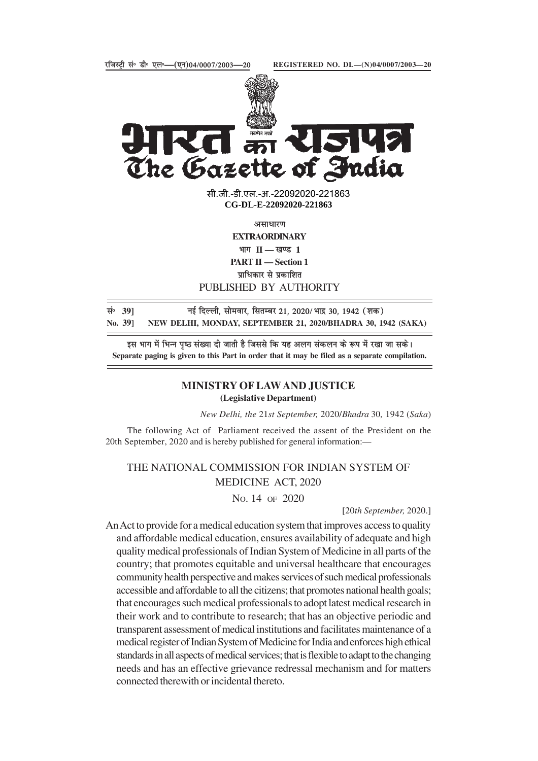

 $\sqrt{\frac{4\pi r^2}{\sqrt{2}}\sqrt{\frac{4r^2}{r^2}}}}$ R. 542 The Gazette of India

> सी.जी.-डी.एल.-अ.-22092020-2218<mark>6</mark>3 **xxxGIDExxx CG-DL-E-22092020-221863**

> > असाधारण

**EXTRAORDINARY** भाग **II** — खण्ड 1 **PART II — Section 1**

प्राधिकार से प्रकाशित

PUBLISHED BY AUTHORITY

lañ **39]** ubZ fnYyh] lkseokj] flrEcj 21] 2020@Hkkæ 30] 1942 ¼'kd½ **No. 39] NEW DELHI, MONDAY, SEPTEMBER 21, 2020/BHADRA 30, 1942 (SAKA)**

इस भाग में भिन्न पष्ठ संख्या दी जाती है जिससे कि यह अलग संकलन के रूप में रखा जा सके। **Separate paging is given to this Part in order that it may be filed as a separate compilation.**

# **MINISTRY OF LAW AND JUSTICE (Legislative Department)**

*New Delhi, the* 21*st September,* 2020/*Bhadra* 30*,* 1942 (*Saka*)

The following Act of Parliament received the assent of the President on the 20th September, 2020 and is hereby published for general information:—

THE NATIONAL COMMISSION FOR INDIAN SYSTEM OF MEDICINE ACT, 2020

NO. 14 OF 2020

[20*th September,* 2020.]

An Act to provide for a medical education system that improves access to quality and affordable medical education, ensures availability of adequate and high quality medical professionals of Indian System of Medicine in all parts of the country; that promotes equitable and universal healthcare that encourages community health perspective and makes services of such medical professionals accessible and affordable to all the citizens; that promotes national health goals; that encourages such medical professionals to adopt latest medical research in their work and to contribute to research; that has an objective periodic and transparent assessment of medical institutions and facilitates maintenance of a medical register of Indian System of Medicine for India and enforces high ethical standards in all aspects of medical services; that is flexible to adapt to the changing needs and has an effective grievance redressal mechanism and for matters connected therewith or incidental thereto.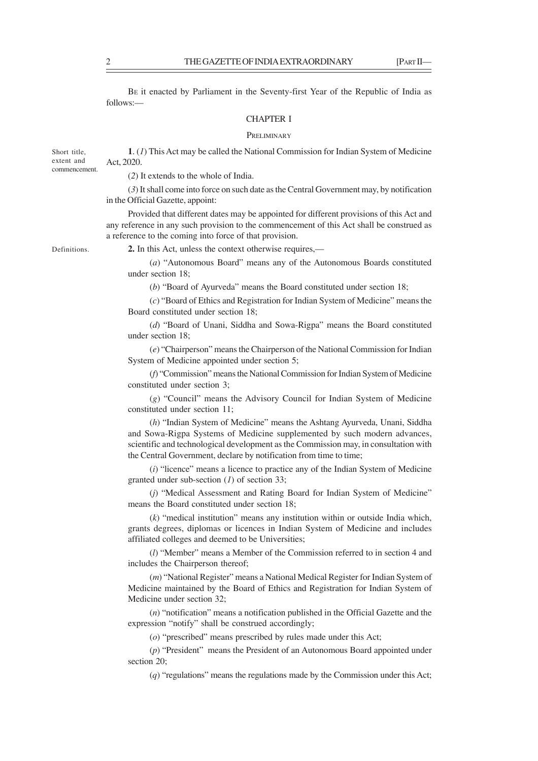BE it enacted by Parliament in the Seventy-first Year of the Republic of India as follows:—

### CHAPTER I

## **PRELIMINARY**

**1**. (*1*) This Act may be called the National Commission for Indian System of Medicine Act, 2020. commencement.

(*2*) It extends to the whole of India.

(*3*) It shall come into force on such date as the Central Government may, by notification in the Official Gazette, appoint:

Provided that different dates may be appointed for different provisions of this Act and any reference in any such provision to the commencement of this Act shall be construed as a reference to the coming into force of that provision.

Definitions.

Short title, extent and

**2.** In this Act, unless the context otherwise requires,—

(*a*) "Autonomous Board" means any of the Autonomous Boards constituted under section 18;

(*b*) "Board of Ayurveda" means the Board constituted under section 18;

(*c*) "Board of Ethics and Registration for Indian System of Medicine" means the Board constituted under section 18;

(*d*) "Board of Unani, Siddha and Sowa-Rigpa" means the Board constituted under section 18;

(*e*) "Chairperson" means the Chairperson of the National Commission for Indian System of Medicine appointed under section 5;

(*f*) "Commission" means the National Commission for Indian System of Medicine constituted under section 3;

(*g*) "Council" means the Advisory Council for Indian System of Medicine constituted under section 11;

(*h*) "Indian System of Medicine" means the Ashtang Ayurveda, Unani, Siddha and Sowa-Rigpa Systems of Medicine supplemented by such modern advances, scientific and technological development as the Commission may, in consultation with the Central Government, declare by notification from time to time;

(*i*) "licence" means a licence to practice any of the Indian System of Medicine granted under sub-section (*1*) of section 33;

(*j*) "Medical Assessment and Rating Board for Indian System of Medicine" means the Board constituted under section 18;

(*k*) "medical institution" means any institution within or outside India which, grants degrees, diplomas or licences in Indian System of Medicine and includes affiliated colleges and deemed to be Universities;

(*l*) "Member" means a Member of the Commission referred to in section 4 and includes the Chairperson thereof;

(*m*) "National Register" means a National Medical Register for Indian System of Medicine maintained by the Board of Ethics and Registration for Indian System of Medicine under section 32;

(*n*) "notification" means a notification published in the Official Gazette and the expression "notify" shall be construed accordingly;

(*o*) "prescribed" means prescribed by rules made under this Act;

(*p*) "President" means the President of an Autonomous Board appointed under section 20;

(*q*) "regulations" means the regulations made by the Commission under this Act;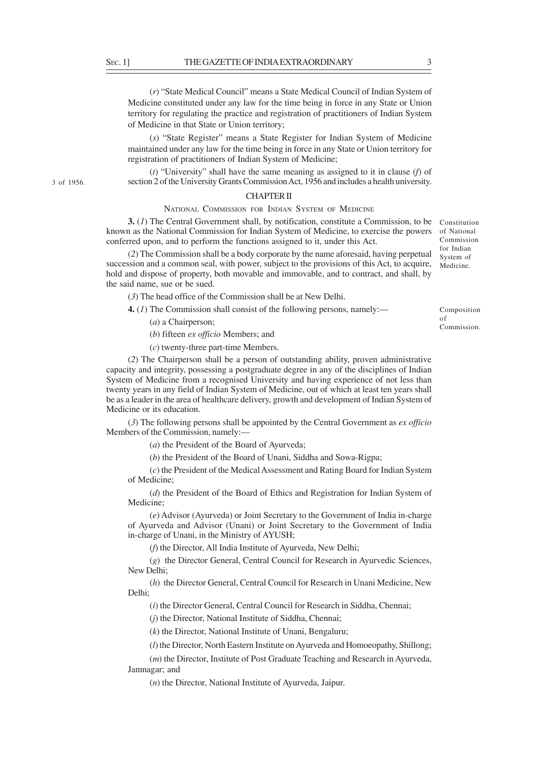3 of 1956.

(*r*) "State Medical Council" means a State Medical Council of Indian System of Medicine constituted under any law for the time being in force in any State or Union territory for regulating the practice and registration of practitioners of Indian System of Medicine in that State or Union territory;

(*s*) "State Register" means a State Register for Indian System of Medicine maintained under any law for the time being in force in any State or Union territory for registration of practitioners of Indian System of Medicine;

(*t*) "University" shall have the same meaning as assigned to it in clause (*f*) of section 2 of the University Grants Commission Act, 1956 and includes a health university.

## CHAPTER II

# NATIONAL COMMISSION FOR INDIAN SYSTEM OF MEDICINE

**3.** (1) The Central Government shall, by notification, constitute a Commission, to be Constitution known as the National Commission for Indian System of Medicine, to exercise the powers conferred upon, and to perform the functions assigned to it, under this Act.

(*2*) The Commission shall be a body corporate by the name aforesaid, having perpetual succession and a common seal, with power, subject to the provisions of this Act, to acquire, hold and dispose of property, both movable and immovable, and to contract, and shall, by the said name, sue or be sued.

(*3*) The head office of the Commission shall be at New Delhi.

**4.** (*1*) The Commission shall consist of the following persons, namely:––

- (*a*) a Chairperson;
- (*b*) fifteen *ex officio* Members; and
- (*c*) twenty-three part-time Members.

(*2*) The Chairperson shall be a person of outstanding ability, proven administrative capacity and integrity, possessing a postgraduate degree in any of the disciplines of Indian System of Medicine from a recognised University and having experience of not less than twenty years in any field of Indian System of Medicine, out of which at least ten years shall be as a leader in the area of healthcare delivery, growth and development of Indian System of Medicine or its education.

(*3*) The following persons shall be appointed by the Central Government as *ex officio* Members of the Commission, namely:—

(*a*) the President of the Board of Ayurveda;

(*b*) the President of the Board of Unani, Siddha and Sowa-Rigpa;

(*c*) the President of the Medical Assessment and Rating Board for Indian System of Medicine;

(*d*) the President of the Board of Ethics and Registration for Indian System of Medicine;

(*e*) Advisor (Ayurveda) or Joint Secretary to the Government of India in-charge of Ayurveda and Advisor (Unani) or Joint Secretary to the Government of India in-charge of Unani, in the Ministry of AYUSH;

(*f*) the Director, All India Institute of Ayurveda, New Delhi;

(*g*) the Director General, Central Council for Research in Ayurvedic Sciences, New Delhi;

(*h*) the Director General, Central Council for Research in Unani Medicine, New Delhi;

(*i*) the Director General, Central Council for Research in Siddha, Chennai;

(*j*) the Director, National Institute of Siddha, Chennai;

(*k*) the Director, National Institute of Unani, Bengaluru;

(*l*) the Director, North Eastern Institute on Ayurveda and Homoeopathy, Shillong;

(*m*) the Director, Institute of Post Graduate Teaching and Research in Ayurveda, Jamnagar; and

(*n*) the Director, National Institute of Ayurveda, Jaipur.

Composition of

of National Commission for Indian System of Medicine.

Commission.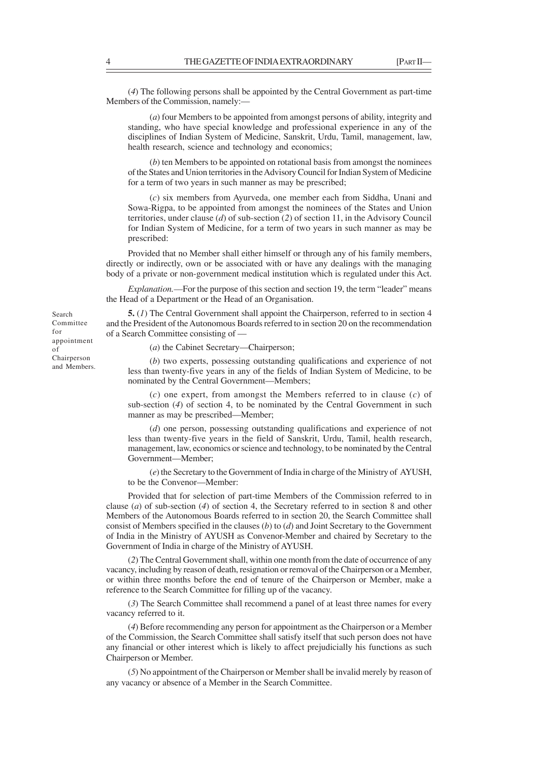(*4*) The following persons shall be appointed by the Central Government as part-time Members of the Commission, namely:—

(*a*) four Members to be appointed from amongst persons of ability, integrity and standing, who have special knowledge and professional experience in any of the disciplines of Indian System of Medicine, Sanskrit, Urdu, Tamil, management, law, health research, science and technology and economics;

(*b*) ten Members to be appointed on rotational basis from amongst the nominees of the States and Union territories in the Advisory Council for Indian System of Medicine for a term of two years in such manner as may be prescribed;

(*c*) six members from Ayurveda, one member each from Siddha, Unani and Sowa-Rigpa, to be appointed from amongst the nominees of the States and Union territories, under clause (*d*) of sub-section (*2*) of section 11, in the Advisory Council for Indian System of Medicine, for a term of two years in such manner as may be prescribed:

Provided that no Member shall either himself or through any of his family members, directly or indirectly, own or be associated with or have any dealings with the managing body of a private or non-government medical institution which is regulated under this Act.

*Explanation.*—For the purpose of this section and section 19, the term "leader" means the Head of a Department or the Head of an Organisation.

**5.** (*1*) The Central Government shall appoint the Chairperson, referred to in section 4 and the President of the Autonomous Boards referred to in section 20 on the recommendation of a Search Committee consisting of —

(*a*) the Cabinet Secretary—Chairperson;

(*b*) two experts, possessing outstanding qualifications and experience of not less than twenty-five years in any of the fields of Indian System of Medicine, to be nominated by the Central Government—Members;

(*c*) one expert, from amongst the Members referred to in clause (*c*) of sub-section (*4*) of section 4, to be nominated by the Central Government in such manner as may be prescribed—Member;

(*d*) one person, possessing outstanding qualifications and experience of not less than twenty-five years in the field of Sanskrit, Urdu, Tamil, health research, management, law, economics or science and technology, to be nominated by the Central Government—Member;

(*e*) the Secretary to the Government of India in charge of the Ministry of AYUSH, to be the Convenor—Member:

Provided that for selection of part-time Members of the Commission referred to in clause (*a*) of sub-section (*4*) of section 4, the Secretary referred to in section 8 and other Members of the Autonomous Boards referred to in section 20, the Search Committee shall consist of Members specified in the clauses (*b*) to (*d*) and Joint Secretary to the Government of India in the Ministry of AYUSH as Convenor-Member and chaired by Secretary to the Government of India in charge of the Ministry of AYUSH.

(*2*) The Central Government shall, within one month from the date of occurrence of any vacancy, including by reason of death, resignation or removal of the Chairperson or a Member, or within three months before the end of tenure of the Chairperson or Member, make a reference to the Search Committee for filling up of the vacancy.

(*3*) The Search Committee shall recommend a panel of at least three names for every vacancy referred to it.

(*4*) Before recommending any person for appointment as the Chairperson or a Member of the Commission, the Search Committee shall satisfy itself that such person does not have any financial or other interest which is likely to affect prejudicially his functions as such Chairperson or Member.

(*5*) No appointment of the Chairperson or Member shall be invalid merely by reason of any vacancy or absence of a Member in the Search Committee.

Search Committee for appointment of Chairperson and Members.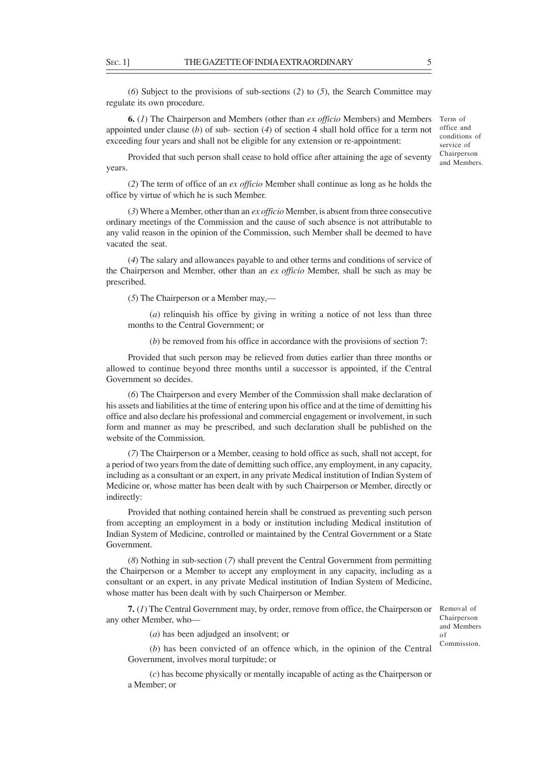(*6*) Subject to the provisions of sub-sections (*2*) to (*5*), the Search Committee may regulate its own procedure.

**6.** (*1*) The Chairperson and Members (other than *ex officio* Members) and Members appointed under clause (b) of sub- section (4) of section 4 shall hold office for a term not office and exceeding four years and shall not be eligible for any extension or re-appointment:

Provided that such person shall cease to hold office after attaining the age of seventy years.

(*2*) The term of office of an *ex officio* Member shall continue as long as he holds the office by virtue of which he is such Member.

(*3*) Where a Member, other than an *ex officio* Member, is absent from three consecutive ordinary meetings of the Commission and the cause of such absence is not attributable to any valid reason in the opinion of the Commission, such Member shall be deemed to have vacated the seat.

(*4*) The salary and allowances payable to and other terms and conditions of service of the Chairperson and Member, other than an *ex officio* Member, shall be such as may be prescribed.

(*5*) The Chairperson or a Member may,––

(*a*) relinquish his office by giving in writing a notice of not less than three months to the Central Government; or

(*b*) be removed from his office in accordance with the provisions of section 7:

Provided that such person may be relieved from duties earlier than three months or allowed to continue beyond three months until a successor is appointed, if the Central Government so decides.

(*6*) The Chairperson and every Member of the Commission shall make declaration of his assets and liabilities at the time of entering upon his office and at the time of demitting his office and also declare his professional and commercial engagement or involvement, in such form and manner as may be prescribed, and such declaration shall be published on the website of the Commission.

(*7*) The Chairperson or a Member, ceasing to hold office as such, shall not accept, for a period of two years from the date of demitting such office, any employment, in any capacity, including as a consultant or an expert, in any private Medical institution of Indian System of Medicine or, whose matter has been dealt with by such Chairperson or Member, directly or indirectly:

Provided that nothing contained herein shall be construed as preventing such person from accepting an employment in a body or institution including Medical institution of Indian System of Medicine, controlled or maintained by the Central Government or a State Government.

(*8*) Nothing in sub-section (*7*) shall prevent the Central Government from permitting the Chairperson or a Member to accept any employment in any capacity, including as a consultant or an expert, in any private Medical institution of Indian System of Medicine, whose matter has been dealt with by such Chairperson or Member.

**7.** (*1*) The Central Government may, by order, remove from office, the Chairperson or Removal of any other Member, who—

Chairperson and Members of Commission.

(*a*) has been adjudged an insolvent; or

(*b*) has been convicted of an offence which, in the opinion of the Central Government, involves moral turpitude; or

(*c*) has become physically or mentally incapable of acting as the Chairperson or a Member; or

Term of conditions of service of Chairperson and Members.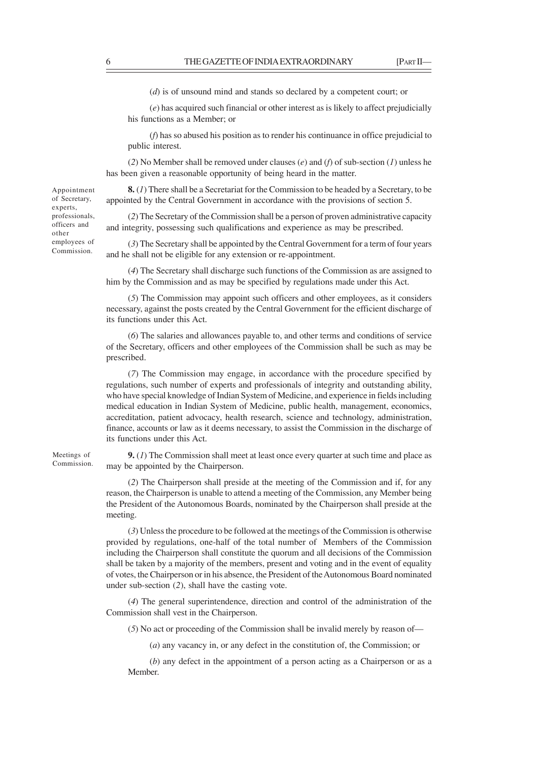(*d*) is of unsound mind and stands so declared by a competent court; or

(*e*) has acquired such financial or other interest as is likely to affect prejudicially his functions as a Member; or

(*f*) has so abused his position as to render his continuance in office prejudicial to public interest.

(*2*) No Member shall be removed under clauses (*e*) and (*f*) of sub-section (*1*) unless he has been given a reasonable opportunity of being heard in the matter.

**8.** (*1*) There shall be a Secretariat for the Commission to be headed by a Secretary, to be appointed by the Central Government in accordance with the provisions of section 5.

(*2*) The Secretary of the Commission shall be a person of proven administrative capacity and integrity, possessing such qualifications and experience as may be prescribed.

(*3*) The Secretary shall be appointed by the Central Government for a term of four years and he shall not be eligible for any extension or re-appointment.

(*4*) The Secretary shall discharge such functions of the Commission as are assigned to him by the Commission and as may be specified by regulations made under this Act.

(*5*) The Commission may appoint such officers and other employees, as it considers necessary, against the posts created by the Central Government for the efficient discharge of its functions under this Act.

(*6*) The salaries and allowances payable to, and other terms and conditions of service of the Secretary, officers and other employees of the Commission shall be such as may be prescribed.

(*7*) The Commission may engage, in accordance with the procedure specified by regulations, such number of experts and professionals of integrity and outstanding ability, who have special knowledge of Indian System of Medicine, and experience in fields including medical education in Indian System of Medicine, public health, management, economics, accreditation, patient advocacy, health research, science and technology, administration, finance, accounts or law as it deems necessary, to assist the Commission in the discharge of its functions under this Act.

**9.** (*1*) The Commission shall meet at least once every quarter at such time and place as may be appointed by the Chairperson.

(*2*) The Chairperson shall preside at the meeting of the Commission and if, for any reason, the Chairperson is unable to attend a meeting of the Commission, any Member being the President of the Autonomous Boards, nominated by the Chairperson shall preside at the meeting.

(*3*) Unless the procedure to be followed at the meetings of the Commission is otherwise provided by regulations, one-half of the total number of Members of the Commission including the Chairperson shall constitute the quorum and all decisions of the Commission shall be taken by a majority of the members, present and voting and in the event of equality of votes, the Chairperson or in his absence, the President of the Autonomous Board nominated under sub-section (*2*), shall have the casting vote.

(*4*) The general superintendence, direction and control of the administration of the Commission shall vest in the Chairperson.

(*5*) No act or proceeding of the Commission shall be invalid merely by reason of—

(*a*) any vacancy in, or any defect in the constitution of, the Commission; or

(*b*) any defect in the appointment of a person acting as a Chairperson or as a Member.

Appointment of Secretary, experts, professionals, officers and other employees of Commission.

Meetings of Commission.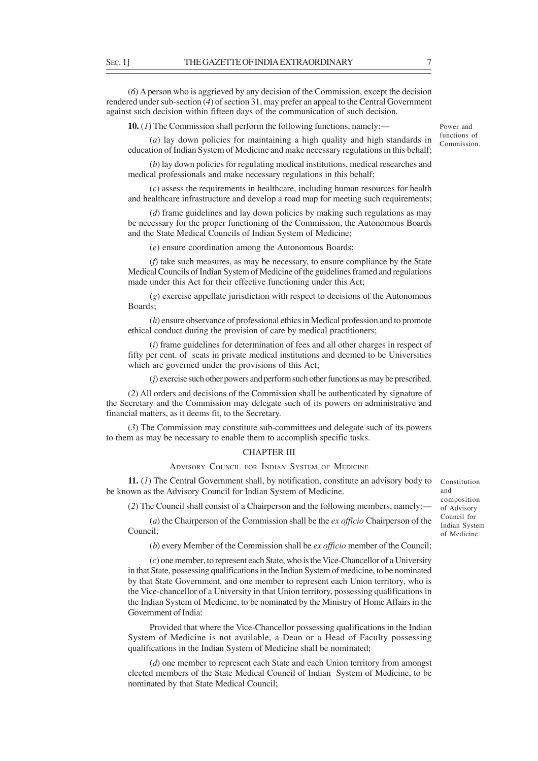(*6*) A person who is aggrieved by any decision of the Commission, except the decision rendered under sub-section (*4*) of section 31, may prefer an appeal to the Central Government against such decision within fifteen days of the communication of such decision.

**10.** (*1*) The Commission shall perform the following functions, namely:—

(*a*) lay down policies for maintaining a high quality and high standards in education of Indian System of Medicine and make necessary regulations in this behalf;

(*b*) lay down policies for regulating medical institutions, medical researches and medical professionals and make necessary regulations in this behalf;

(*c*) assess the requirements in healthcare, including human resources for health and healthcare infrastructure and develop a road map for meeting such requirements;

(*d*) frame guidelines and lay down policies by making such regulations as may be necessary for the proper functioning of the Commission, the Autonomous Boards and the State Medical Councils of Indian System of Medicine;

(*e*) ensure coordination among the Autonomous Boards;

(*f*) take such measures, as may be necessary, to ensure compliance by the State Medical Councils of Indian System of Medicine of the guidelines framed and regulations made under this Act for their effective functioning under this Act;

(*g*) exercise appellate jurisdiction with respect to decisions of the Autonomous Boards;

(*h*) ensure observance of professional ethics in Medical profession and to promote ethical conduct during the provision of care by medical practitioners;

(*i*) frame guidelines for determination of fees and all other charges in respect of fifty per cent. of seats in private medical institutions and deemed to be Universities which are governed under the provisions of this Act;

(*j*) exercise such other powers and perform such other functions as may be prescribed.

(*2*) All orders and decisions of the Commission shall be authenticated by signature of the Secretary and the Commission may delegate such of its powers on administrative and financial matters, as it deems fit, to the Secretary.

(*3*) The Commission may constitute sub-committees and delegate such of its powers to them as may be necessary to enable them to accomplish specific tasks.

# CHAPTER III

ADVISORY COUNCIL FOR INDIAN SYSTEM OF MEDICINE

**11.** (*1*) The Central Government shall, by notification, constitute an advisory body to be known as the Advisory Council for Indian System of Medicine.

(*2*) The Council shall consist of a Chairperson and the following members, namely:—

(*a*) the Chairperson of the Commission shall be the *ex officio* Chairperson of the Council;

(*b*) every Member of the Commission shall be *ex officio* member of the Council;

(*c*) one member, to represent each State, who is the Vice-Chancellor of a University in that State, possessing qualifications in the Indian System of medicine, to be nominated by that State Government, and one member to represent each Union territory, who is the Vice-chancellor of a University in that Union territory, possessing qualifications in the Indian System of Medicine, to be nominated by the Ministry of Home Affairs in the Government of India:

Provided that where the Vice-Chancellor possessing qualifications in the Indian System of Medicine is not available, a Dean or a Head of Faculty possessing qualifications in the Indian System of Medicine shall be nominated;

(*d*) one member to represent each State and each Union territory from amongst elected members of the State Medical Council of Indian System of Medicine, to be nominated by that State Medical Council;

Constitution and composition of Advisory Council for Indian System of Medicine.

Power and functions of Commission.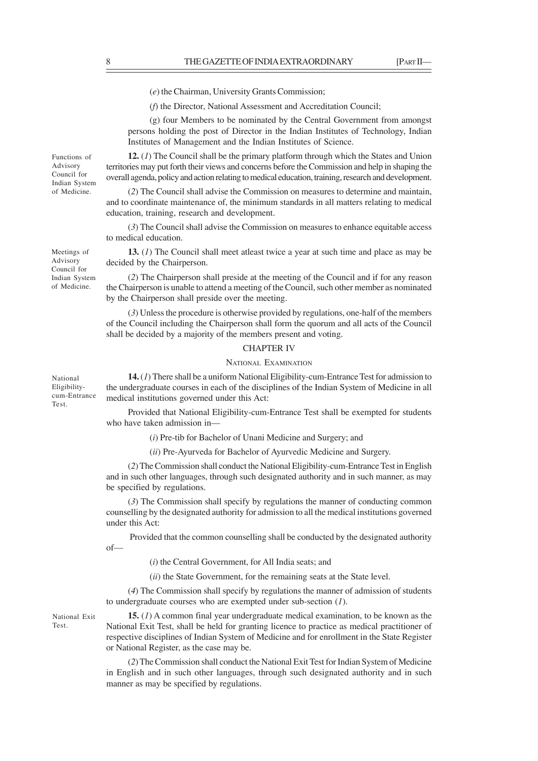(*e*) the Chairman, University Grants Commission;

(*f*) the Director, National Assessment and Accreditation Council;

(g) four Members to be nominated by the Central Government from amongst persons holding the post of Director in the Indian Institutes of Technology, Indian Institutes of Management and the Indian Institutes of Science.

**12.** (*1*) The Council shall be the primary platform through which the States and Union territories may put forth their views and concerns before the Commission and help in shaping the overall agenda, policy and action relating to medical education, training, research and development.

(*2*) The Council shall advise the Commission on measures to determine and maintain, and to coordinate maintenance of, the minimum standards in all matters relating to medical education, training, research and development.

(*3*) The Council shall advise the Commission on measures to enhance equitable access to medical education.

**13.** (*1*) The Council shall meet atleast twice a year at such time and place as may be decided by the Chairperson.

(*2*) The Chairperson shall preside at the meeting of the Council and if for any reason the Chairperson is unable to attend a meeting of the Council, such other member as nominated by the Chairperson shall preside over the meeting.

(*3*) Unless the procedure is otherwise provided by regulations, one-half of the members of the Council including the Chairperson shall form the quorum and all acts of the Council shall be decided by a majority of the members present and voting.

#### CHAPTER IV

### NATIONAL EXAMINATION

**14.** (*1*) There shall be a uniform National Eligibility-cum-Entrance Test for admission to the undergraduate courses in each of the disciplines of the Indian System of Medicine in all medical institutions governed under this Act:

Provided that National Eligibility-cum-Entrance Test shall be exempted for students who have taken admission in––

(*i*) Pre-tib for Bachelor of Unani Medicine and Surgery; and

(*ii*) Pre-Ayurveda for Bachelor of Ayurvedic Medicine and Surgery.

(*2*) The Commission shall conduct the National Eligibility-cum-Entrance Test in English and in such other languages, through such designated authority and in such manner, as may be specified by regulations.

(*3*) The Commission shall specify by regulations the manner of conducting common counselling by the designated authority for admission to all the medical institutions governed under this Act:

 Provided that the common counselling shall be conducted by the designated authority of––

(*i*) the Central Government, for All India seats; and

(*ii*) the State Government, for the remaining seats at the State level.

(*4*) The Commission shall specify by regulations the manner of admission of students to undergraduate courses who are exempted under sub-section (*1*).

**15.** (*1*) A common final year undergraduate medical examination, to be known as the National Exit Test, shall be held for granting licence to practice as medical practitioner of respective disciplines of Indian System of Medicine and for enrollment in the State Register or National Register, as the case may be.

(*2*) The Commission shall conduct the National Exit Test for Indian System of Medicine in English and in such other languages, through such designated authority and in such manner as may be specified by regulations.

Meetings of Advisory Council for Indian System of Medicine.

Functions of Advisory Council for Indian System of Medicine.

National Eligibilitycum-Entrance Test.

National Exit Test.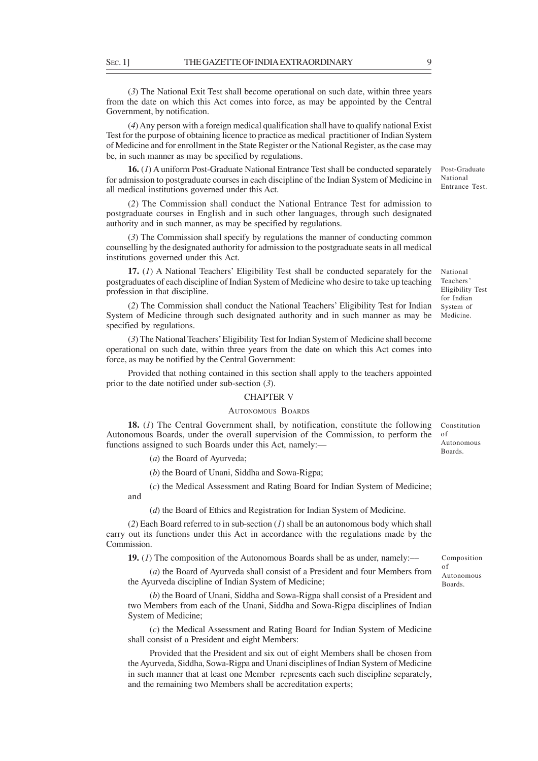(*3*) The National Exit Test shall become operational on such date, within three years from the date on which this Act comes into force, as may be appointed by the Central Government, by notification.

(*4*) Any person with a foreign medical qualification shall have to qualify national Exist Test for the purpose of obtaining licence to practice as medical practitioner of Indian System of Medicine and for enrollment in the State Register or the National Register, as the case may be, in such manner as may be specified by regulations.

**16.** (*1*) A uniform Post-Graduate National Entrance Test shall be conducted separately for admission to postgraduate courses in each discipline of the Indian System of Medicine in all medical institutions governed under this Act.

(*2*) The Commission shall conduct the National Entrance Test for admission to postgraduate courses in English and in such other languages, through such designated authority and in such manner, as may be specified by regulations.

(*3*) The Commission shall specify by regulations the manner of conducting common counselling by the designated authority for admission to the postgraduate seats in all medical institutions governed under this Act.

**17.** (*1*) A National Teachers' Eligibility Test shall be conducted separately for the postgraduates of each discipline of Indian System of Medicine who desire to take up teaching profession in that discipline.

(*2*) The Commission shall conduct the National Teachers' Eligibility Test for Indian System of Medicine through such designated authority and in such manner as may be specified by regulations.

(*3*) The National Teachers' Eligibility Test for Indian System of Medicine shall become operational on such date, within three years from the date on which this Act comes into force, as may be notified by the Central Government:

Provided that nothing contained in this section shall apply to the teachers appointed prior to the date notified under sub-section (*3*).

#### CHAPTER V

# AUTONOMOUS BOARDS

**18.** (*1*) The Central Government shall, by notification, constitute the following Autonomous Boards, under the overall supervision of the Commission, to perform the functions assigned to such Boards under this Act, namely:-Constitution of Autonomous Boards.

(*a*) the Board of Ayurveda;

(*b*) the Board of Unani, Siddha and Sowa-Rigpa;

(*c*) the Medical Assessment and Rating Board for Indian System of Medicine; and

(*d*) the Board of Ethics and Registration for Indian System of Medicine.

(*2*) Each Board referred to in sub-section (*1*) shall be an autonomous body which shall carry out its functions under this Act in accordance with the regulations made by the Commission.

**19.** (*l*) The composition of the Autonomous Boards shall be as under, namely:—

(*a*) the Board of Ayurveda shall consist of a President and four Members from the Ayurveda discipline of Indian System of Medicine;

(*b*) the Board of Unani, Siddha and Sowa-Rigpa shall consist of a President and two Members from each of the Unani, Siddha and Sowa-Rigpa disciplines of Indian System of Medicine;

(*c*) the Medical Assessment and Rating Board for Indian System of Medicine shall consist of a President and eight Members:

Provided that the President and six out of eight Members shall be chosen from the Ayurveda, Siddha, Sowa-Rigpa and Unani disciplines of Indian System of Medicine in such manner that at least one Member represents each such discipline separately, and the remaining two Members shall be accreditation experts;

of Autonomous Boards.

National Teachers ' Eligibility Test for Indian System of Medicine.

Post-Graduate National Entrance Test.

Composition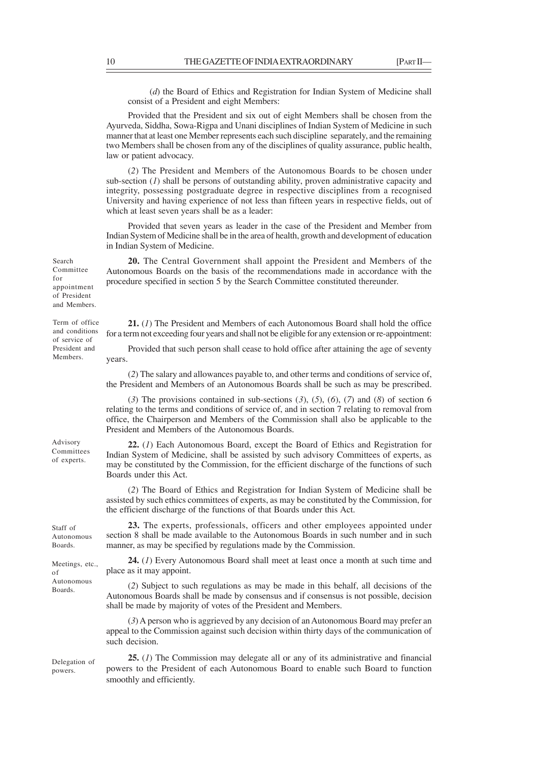(*d*) the Board of Ethics and Registration for Indian System of Medicine shall consist of a President and eight Members:

Provided that the President and six out of eight Members shall be chosen from the Ayurveda, Siddha, Sowa-Rigpa and Unani disciplines of Indian System of Medicine in such manner that at least one Member represents each such discipline separately, and the remaining two Members shall be chosen from any of the disciplines of quality assurance, public health, law or patient advocacy.

(*2*) The President and Members of the Autonomous Boards to be chosen under sub-section (*1*) shall be persons of outstanding ability, proven administrative capacity and integrity, possessing postgraduate degree in respective disciplines from a recognised University and having experience of not less than fifteen years in respective fields, out of which at least seven years shall be as a leader:

Provided that seven years as leader in the case of the President and Member from Indian System of Medicine shall be in the area of health, growth and development of education in Indian System of Medicine.

**20.** The Central Government shall appoint the President and Members of the Autonomous Boards on the basis of the recommendations made in accordance with the procedure specified in section 5 by the Search Committee constituted thereunder.

**21.** (*1*) The President and Members of each Autonomous Board shall hold the office for a term not exceeding four years and shall not be eligible for any extension or re-appointment:

Provided that such person shall cease to hold office after attaining the age of seventy years.

(*2*) The salary and allowances payable to, and other terms and conditions of service of, the President and Members of an Autonomous Boards shall be such as may be prescribed.

(*3*) The provisions contained in sub-sections (*3*), (*5*), (*6*), (*7*) and (*8*) of section 6 relating to the terms and conditions of service of, and in section 7 relating to removal from office, the Chairperson and Members of the Commission shall also be applicable to the President and Members of the Autonomous Boards.

**22.** (*1*) Each Autonomous Board, except the Board of Ethics and Registration for Indian System of Medicine, shall be assisted by such advisory Committees of experts, as may be constituted by the Commission, for the efficient discharge of the functions of such Boards under this Act.

(*2*) The Board of Ethics and Registration for Indian System of Medicine shall be assisted by such ethics committees of experts, as may be constituted by the Commission, for the efficient discharge of the functions of that Boards under this Act.

**23.** The experts, professionals, officers and other employees appointed under section 8 shall be made available to the Autonomous Boards in such number and in such manner, as may be specified by regulations made by the Commission. Autonomous

**24.** (*1*) Every Autonomous Board shall meet at least once a month at such time and place as it may appoint. Meetings, etc.,

> (*2*) Subject to such regulations as may be made in this behalf, all decisions of the Autonomous Boards shall be made by consensus and if consensus is not possible, decision shall be made by majority of votes of the President and Members.

> (*3*) A person who is aggrieved by any decision of an Autonomous Board may prefer an appeal to the Commission against such decision within thirty days of the communication of such decision.

Delegation of powers.

**25.** (*1*) The Commission may delegate all or any of its administrative and financial powers to the President of each Autonomous Board to enable such Board to function smoothly and efficiently.

Term of office and conditions of service of President and Members.

Advisory Committees of experts.

Staff of

Boards.

Autonomous Boards.

of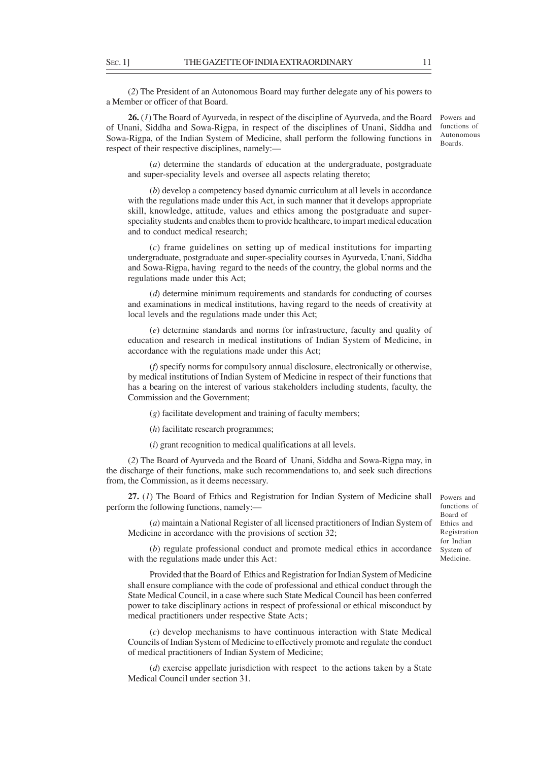**26.** (*1*) The Board of Ayurveda, in respect of the discipline of Ayurveda, and the Board of Unani, Siddha and Sowa-Rigpa, in respect of the disciplines of Unani, Siddha and Sowa-Rigpa, of the Indian System of Medicine, shall perform the following functions in respect of their respective disciplines, namely:—

(*a*) determine the standards of education at the undergraduate, postgraduate and super-speciality levels and oversee all aspects relating thereto;

(*b*) develop a competency based dynamic curriculum at all levels in accordance with the regulations made under this Act, in such manner that it develops appropriate skill, knowledge, attitude, values and ethics among the postgraduate and superspeciality students and enables them to provide healthcare, to impart medical education and to conduct medical research;

(*c*) frame guidelines on setting up of medical institutions for imparting undergraduate, postgraduate and super-speciality courses in Ayurveda, Unani, Siddha and Sowa-Rigpa, having regard to the needs of the country, the global norms and the regulations made under this Act;

(*d*) determine minimum requirements and standards for conducting of courses and examinations in medical institutions, having regard to the needs of creativity at local levels and the regulations made under this Act;

(*e*) determine standards and norms for infrastructure, faculty and quality of education and research in medical institutions of Indian System of Medicine, in accordance with the regulations made under this Act;

(*f*) specify norms for compulsory annual disclosure, electronically or otherwise, by medical institutions of Indian System of Medicine in respect of their functions that has a bearing on the interest of various stakeholders including students, faculty, the Commission and the Government;

(*g*) facilitate development and training of faculty members;

(*h*) facilitate research programmes;

(*i*) grant recognition to medical qualifications at all levels.

(*2*) The Board of Ayurveda and the Board of Unani, Siddha and Sowa-Rigpa may, in the discharge of their functions, make such recommendations to, and seek such directions from, the Commission, as it deems necessary.

**27.** (*1*) The Board of Ethics and Registration for Indian System of Medicine shall perform the following functions, namely:––

(*a*) maintain a National Register of all licensed practitioners of Indian System of Medicine in accordance with the provisions of section 32;

Board of Ethics and Registration for Indian System of Medicine.

Powers and functions of

(*b*) regulate professional conduct and promote medical ethics in accordance with the regulations made under this Act:

Provided that the Board of Ethics and Registration for Indian System of Medicine shall ensure compliance with the code of professional and ethical conduct through the State Medical Council, in a case where such State Medical Council has been conferred power to take disciplinary actions in respect of professional or ethical misconduct by medical practitioners under respective State Acts;

(*c*) develop mechanisms to have continuous interaction with State Medical Councils of Indian System of Medicine to effectively promote and regulate the conduct of medical practitioners of Indian System of Medicine;

(*d*) exercise appellate jurisdiction with respect to the actions taken by a State Medical Council under section 31.

Powers and functions of Autonomous Boards.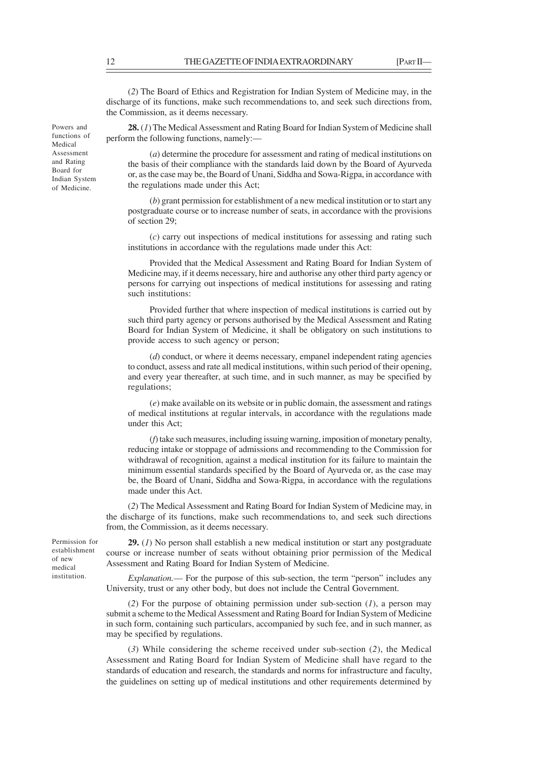(*2*) The Board of Ethics and Registration for Indian System of Medicine may, in the discharge of its functions, make such recommendations to, and seek such directions from, the Commission, as it deems necessary.

**28.** (*1*) The Medical Assessment and Rating Board for Indian System of Medicine shall perform the following functions, namely:––

(*a*) determine the procedure for assessment and rating of medical institutions on the basis of their compliance with the standards laid down by the Board of Ayurveda or, as the case may be, the Board of Unani, Siddha and Sowa-Rigpa, in accordance with the regulations made under this Act;

(*b*) grant permission for establishment of a new medical institution or to start any postgraduate course or to increase number of seats, in accordance with the provisions of section 29;

(*c*) carry out inspections of medical institutions for assessing and rating such institutions in accordance with the regulations made under this Act:

Provided that the Medical Assessment and Rating Board for Indian System of Medicine may, if it deems necessary, hire and authorise any other third party agency or persons for carrying out inspections of medical institutions for assessing and rating such institutions:

Provided further that where inspection of medical institutions is carried out by such third party agency or persons authorised by the Medical Assessment and Rating Board for Indian System of Medicine, it shall be obligatory on such institutions to provide access to such agency or person;

(*d*) conduct, or where it deems necessary, empanel independent rating agencies to conduct, assess and rate all medical institutions, within such period of their opening, and every year thereafter, at such time, and in such manner, as may be specified by regulations;

(*e*) make available on its website or in public domain, the assessment and ratings of medical institutions at regular intervals, in accordance with the regulations made under this Act;

(*f*) take such measures, including issuing warning, imposition of monetary penalty, reducing intake or stoppage of admissions and recommending to the Commission for withdrawal of recognition, against a medical institution for its failure to maintain the minimum essential standards specified by the Board of Ayurveda or, as the case may be, the Board of Unani, Siddha and Sowa-Rigpa, in accordance with the regulations made under this Act.

(*2*) The Medical Assessment and Rating Board for Indian System of Medicine may, in the discharge of its functions, make such recommendations to, and seek such directions from, the Commission, as it deems necessary.

Permission for establishment of new medical institution.

**29.** (*1*) No person shall establish a new medical institution or start any postgraduate course or increase number of seats without obtaining prior permission of the Medical Assessment and Rating Board for Indian System of Medicine.

*Explanation.––* For the purpose of this sub-section, the term "person" includes any University, trust or any other body, but does not include the Central Government.

(*2*) For the purpose of obtaining permission under sub-section (*1*), a person may submit a scheme to the Medical Assessment and Rating Board for Indian System of Medicine in such form, containing such particulars, accompanied by such fee, and in such manner, as may be specified by regulations.

(*3*) While considering the scheme received under sub-section (*2*), the Medical Assessment and Rating Board for Indian System of Medicine shall have regard to the standards of education and research, the standards and norms for infrastructure and faculty, the guidelines on setting up of medical institutions and other requirements determined by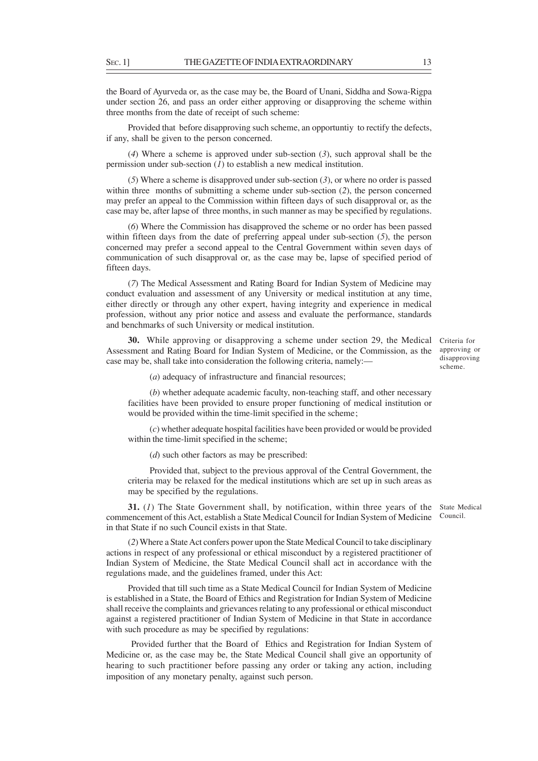the Board of Ayurveda or, as the case may be, the Board of Unani, Siddha and Sowa-Rigpa under section 26, and pass an order either approving or disapproving the scheme within three months from the date of receipt of such scheme:

Provided that before disapproving such scheme, an opportuntiy to rectify the defects, if any, shall be given to the person concerned.

(*4*) Where a scheme is approved under sub-section (*3*), such approval shall be the permission under sub-section (*1*) to establish a new medical institution.

(*5*) Where a scheme is disapproved under sub-section (*3*), or where no order is passed within three months of submitting a scheme under sub-section (*2*), the person concerned may prefer an appeal to the Commission within fifteen days of such disapproval or, as the case may be, after lapse of three months, in such manner as may be specified by regulations.

(*6*) Where the Commission has disapproved the scheme or no order has been passed within fifteen days from the date of preferring appeal under sub-section (*5*), the person concerned may prefer a second appeal to the Central Government within seven days of communication of such disapproval or, as the case may be, lapse of specified period of fifteen days.

(*7*) The Medical Assessment and Rating Board for Indian System of Medicine may conduct evaluation and assessment of any University or medical institution at any time, either directly or through any other expert, having integrity and experience in medical profession, without any prior notice and assess and evaluate the performance, standards and benchmarks of such University or medical institution.

**30.** While approving or disapproving a scheme under section 29, the Medical Criteria for Assessment and Rating Board for Indian System of Medicine, or the Commission, as the case may be, shall take into consideration the following criteria, namely:—

approving or disapproving scheme.

(*a*) adequacy of infrastructure and financial resources;

(*b*) whether adequate academic faculty, non-teaching staff, and other necessary facilities have been provided to ensure proper functioning of medical institution or would be provided within the time-limit specified in the scheme;

(*c*) whether adequate hospital facilities have been provided or would be provided within the time-limit specified in the scheme;

(*d*) such other factors as may be prescribed:

Provided that, subject to the previous approval of the Central Government, the criteria may be relaxed for the medical institutions which are set up in such areas as may be specified by the regulations.

**31.** (1) The State Government shall, by notification, within three years of the State Medical commencement of this Act, establish a State Medical Council for Indian System of Medicine in that State if no such Council exists in that State. Council.

(*2*) Where a State Act confers power upon the State Medical Council to take disciplinary actions in respect of any professional or ethical misconduct by a registered practitioner of Indian System of Medicine, the State Medical Council shall act in accordance with the regulations made, and the guidelines framed, under this Act:

Provided that till such time as a State Medical Council for Indian System of Medicine is established in a State, the Board of Ethics and Registration for Indian System of Medicine shall receive the complaints and grievances relating to any professional or ethical misconduct against a registered practitioner of Indian System of Medicine in that State in accordance with such procedure as may be specified by regulations:

 Provided further that the Board of Ethics and Registration for Indian System of Medicine or, as the case may be, the State Medical Council shall give an opportunity of hearing to such practitioner before passing any order or taking any action, including imposition of any monetary penalty, against such person.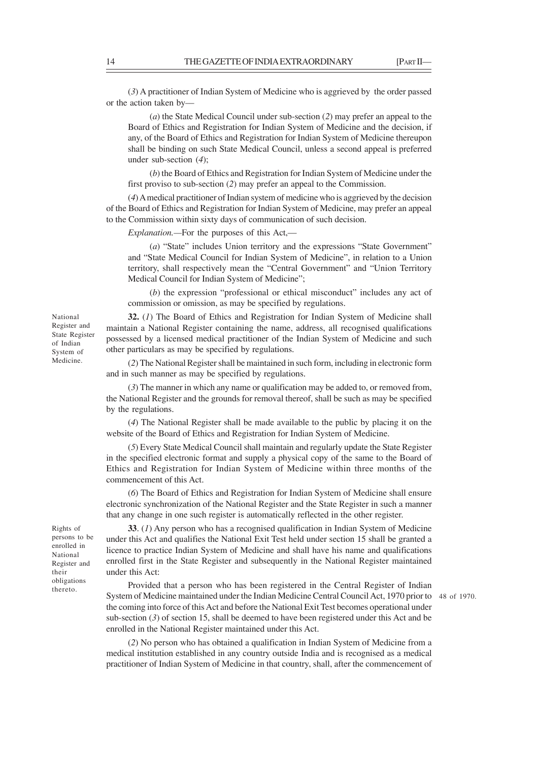(*3*) A practitioner of Indian System of Medicine who is aggrieved by the order passed or the action taken by––

(*a*) the State Medical Council under sub-section (*2*) may prefer an appeal to the Board of Ethics and Registration for Indian System of Medicine and the decision, if any, of the Board of Ethics and Registration for Indian System of Medicine thereupon shall be binding on such State Medical Council, unless a second appeal is preferred under sub-section (*4*);

(*b*) the Board of Ethics and Registration for Indian System of Medicine under the first proviso to sub-section (*2*) may prefer an appeal to the Commission.

(*4*) A medical practitioner of Indian system of medicine who is aggrieved by the decision of the Board of Ethics and Registration for Indian System of Medicine, may prefer an appeal to the Commission within sixty days of communication of such decision.

*Explanation.—*For the purposes of this Act,—

(*a*) "State" includes Union territory and the expressions "State Government" and "State Medical Council for Indian System of Medicine", in relation to a Union territory, shall respectively mean the "Central Government" and "Union Territory Medical Council for Indian System of Medicine";

(*b*) the expression "professional or ethical misconduct" includes any act of commission or omission, as may be specified by regulations.

**32.** (*1*) The Board of Ethics and Registration for Indian System of Medicine shall maintain a National Register containing the name, address, all recognised qualifications possessed by a licensed medical practitioner of the Indian System of Medicine and such other particulars as may be specified by regulations.

(*2*) The National Register shall be maintained in such form, including in electronic form and in such manner as may be specified by regulations.

(*3*) The manner in which any name or qualification may be added to, or removed from, the National Register and the grounds for removal thereof, shall be such as may be specified by the regulations.

(*4*) The National Register shall be made available to the public by placing it on the website of the Board of Ethics and Registration for Indian System of Medicine.

(*5*) Every State Medical Council shall maintain and regularly update the State Register in the specified electronic format and supply a physical copy of the same to the Board of Ethics and Registration for Indian System of Medicine within three months of the commencement of this Act.

(*6*) The Board of Ethics and Registration for Indian System of Medicine shall ensure electronic synchronization of the National Register and the State Register in such a manner that any change in one such register is automatically reflected in the other register.

under this Act: Rights of persons to be enrolled in National Register and their obligations thereto.

**33**. (*1*) Any person who has a recognised qualification in Indian System of Medicine under this Act and qualifies the National Exit Test held under section 15 shall be granted a licence to practice Indian System of Medicine and shall have his name and qualifications enrolled first in the State Register and subsequently in the National Register maintained

Provided that a person who has been registered in the Central Register of Indian System of Medicine maintained under the Indian Medicine Central Council Act, 1970 prior to 48 of 1970.the coming into force of this Act and before the National Exit Test becomes operational under sub-section (*3*) of section 15, shall be deemed to have been registered under this Act and be enrolled in the National Register maintained under this Act.

(*2*) No person who has obtained a qualification in Indian System of Medicine from a medical institution established in any country outside India and is recognised as a medical practitioner of Indian System of Medicine in that country, shall, after the commencement of

National Register and State Register of Indian System of Medicine.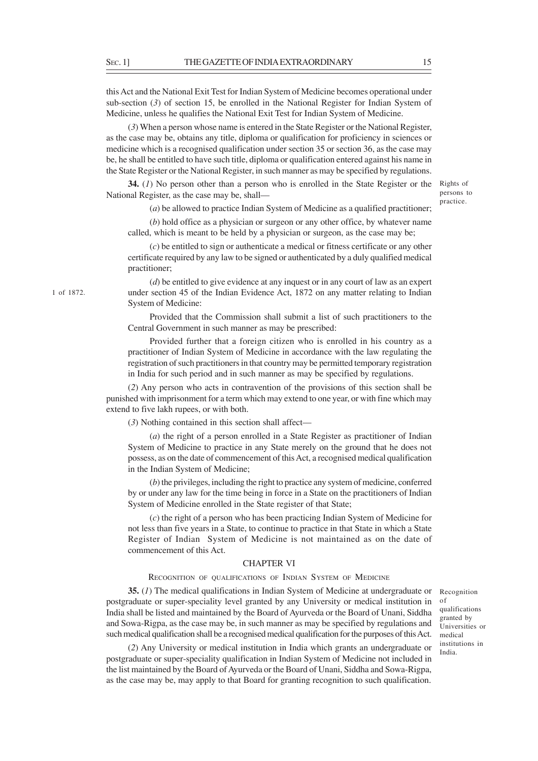this Act and the National Exit Test for Indian System of Medicine becomes operational under sub-section (*3*) of section 15, be enrolled in the National Register for Indian System of Medicine, unless he qualifies the National Exit Test for Indian System of Medicine.

(*3*) When a person whose name is entered in the State Register or the National Register, as the case may be, obtains any title, diploma or qualification for proficiency in sciences or medicine which is a recognised qualification under section 35 or section 36, as the case may be, he shall be entitled to have such title, diploma or qualification entered against his name in the State Register or the National Register, in such manner as may be specified by regulations.

**34.** (1) No person other than a person who is enrolled in the State Register or the Rights of National Register, as the case may be, shall—

(*a*) be allowed to practice Indian System of Medicine as a qualified practitioner; practice.

(*b*) hold office as a physician or surgeon or any other office, by whatever name called, which is meant to be held by a physician or surgeon, as the case may be;

(*c*) be entitled to sign or authenticate a medical or fitness certificate or any other certificate required by any law to be signed or authenticated by a duly qualified medical practitioner;

(*d*) be entitled to give evidence at any inquest or in any court of law as an expert under section 45 of the Indian Evidence Act, 1872 on any matter relating to Indian System of Medicine:

Provided that the Commission shall submit a list of such practitioners to the Central Government in such manner as may be prescribed:

Provided further that a foreign citizen who is enrolled in his country as a practitioner of Indian System of Medicine in accordance with the law regulating the registration of such practitioners in that country may be permitted temporary registration in India for such period and in such manner as may be specified by regulations.

(*2*) Any person who acts in contravention of the provisions of this section shall be punished with imprisonment for a term which may extend to one year, or with fine which may extend to five lakh rupees, or with both.

(*3*) Nothing contained in this section shall affect––

(*a*) the right of a person enrolled in a State Register as practitioner of Indian System of Medicine to practice in any State merely on the ground that he does not possess, as on the date of commencement of this Act, a recognised medical qualification in the Indian System of Medicine;

(*b*) the privileges, including the right to practice any system of medicine, conferred by or under any law for the time being in force in a State on the practitioners of Indian System of Medicine enrolled in the State register of that State;

(*c*) the right of a person who has been practicing Indian System of Medicine for not less than five years in a State, to continue to practice in that State in which a State Register of Indian System of Medicine is not maintained as on the date of commencement of this Act.

# CHAPTER VI

RECOGNITION OF QUALIFICATIONS OF INDIAN SYSTEM OF MEDICINE

**35.** (*1*) The medical qualifications in Indian System of Medicine at undergraduate or postgraduate or super-speciality level granted by any University or medical institution in India shall be listed and maintained by the Board of Ayurveda or the Board of Unani, Siddha and Sowa-Rigpa, as the case may be, in such manner as may be specified by regulations and such medical qualification shall be a recognised medical qualification for the purposes of this Act.

(*2*) Any University or medical institution in India which grants an undergraduate or postgraduate or super-speciality qualification in Indian System of Medicine not included in the list maintained by the Board of Ayurveda or the Board of Unani, Siddha and Sowa-Rigpa, as the case may be, may apply to that Board for granting recognition to such qualification.

Recognition of qualifications granted by Universities or medical institutions in India.

1 of 1872.

persons to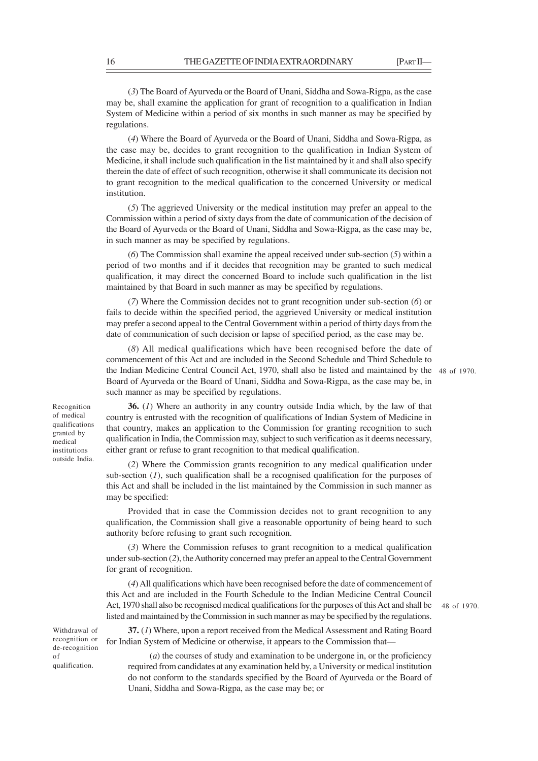(*3*) The Board of Ayurveda or the Board of Unani, Siddha and Sowa-Rigpa, as the case may be, shall examine the application for grant of recognition to a qualification in Indian System of Medicine within a period of six months in such manner as may be specified by regulations.

(*4*) Where the Board of Ayurveda or the Board of Unani, Siddha and Sowa-Rigpa, as the case may be, decides to grant recognition to the qualification in Indian System of Medicine, it shall include such qualification in the list maintained by it and shall also specify therein the date of effect of such recognition, otherwise it shall communicate its decision not to grant recognition to the medical qualification to the concerned University or medical institution.

(*5*) The aggrieved University or the medical institution may prefer an appeal to the Commission within a period of sixty days from the date of communication of the decision of the Board of Ayurveda or the Board of Unani, Siddha and Sowa-Rigpa, as the case may be, in such manner as may be specified by regulations.

(*6*) The Commission shall examine the appeal received under sub-section (*5*) within a period of two months and if it decides that recognition may be granted to such medical qualification, it may direct the concerned Board to include such qualification in the list maintained by that Board in such manner as may be specified by regulations.

(*7*) Where the Commission decides not to grant recognition under sub-section (*6*) or fails to decide within the specified period, the aggrieved University or medical institution may prefer a second appeal to the Central Government within a period of thirty days from the date of communication of such decision or lapse of specified period, as the case may be.

(*8*) All medical qualifications which have been recognised before the date of commencement of this Act and are included in the Second Schedule and Third Schedule to the Indian Medicine Central Council Act, 1970, shall also be listed and maintained by the 48 of 1970. Board of Ayurveda or the Board of Unani, Siddha and Sowa-Rigpa, as the case may be, in such manner as may be specified by regulations.

**36.** (*1*) Where an authority in any country outside India which, by the law of that country is entrusted with the recognition of qualifications of Indian System of Medicine in that country, makes an application to the Commission for granting recognition to such qualification in India, the Commission may, subject to such verification as it deems necessary, either grant or refuse to grant recognition to that medical qualification.

(*2*) Where the Commission grants recognition to any medical qualification under sub-section (*1*), such qualification shall be a recognised qualification for the purposes of this Act and shall be included in the list maintained by the Commission in such manner as may be specified:

Provided that in case the Commission decides not to grant recognition to any qualification, the Commission shall give a reasonable opportunity of being heard to such authority before refusing to grant such recognition.

(*3*) Where the Commission refuses to grant recognition to a medical qualification under sub-section (*2*), the Authority concerned may prefer an appeal to the Central Government for grant of recognition.

(*4*) All qualifications which have been recognised before the date of commencement of this Act and are included in the Fourth Schedule to the Indian Medicine Central Council Act, 1970 shall also be recognised medical qualifications for the purposes of this Act and shall be listed and maintained by the Commission in such manner as may be specified by the regulations.

48 of 1970.

**37.** (*1*) Where, upon a report received from the Medical Assessment and Rating Board for Indian System of Medicine or otherwise, it appears to the Commission that—

(*a*) the courses of study and examination to be undergone in, or the proficiency required from candidates at any examination held by, a University or medical institution do not conform to the standards specified by the Board of Ayurveda or the Board of Unani, Siddha and Sowa-Rigpa, as the case may be; or

Recognition of medical qualifications granted by medical institutions outside India.

Withdrawal of recognition or de-recognition of qualification.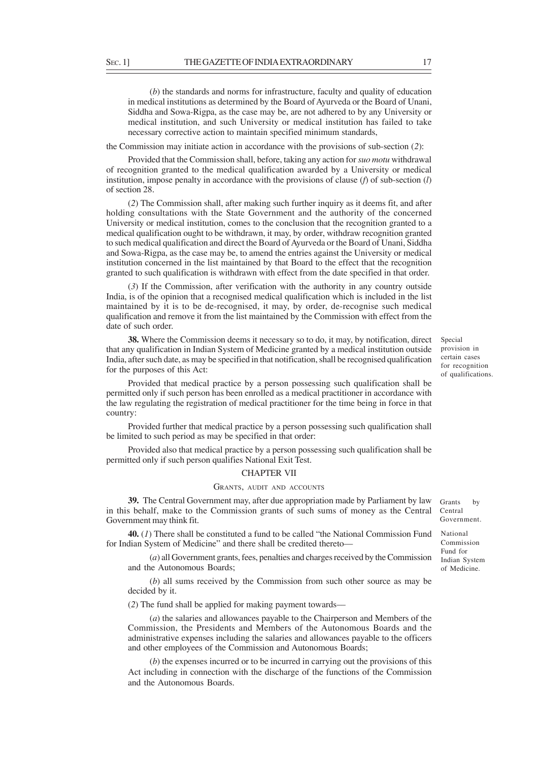(*b*) the standards and norms for infrastructure, faculty and quality of education in medical institutions as determined by the Board of Ayurveda or the Board of Unani, Siddha and Sowa-Rigpa, as the case may be, are not adhered to by any University or medical institution, and such University or medical institution has failed to take necessary corrective action to maintain specified minimum standards,

the Commission may initiate action in accordance with the provisions of sub-section (*2*):

Provided that the Commission shall, before, taking any action for *suo motu* withdrawal of recognition granted to the medical qualification awarded by a University or medical institution, impose penalty in accordance with the provisions of clause (*f*) of sub-section (*l*) of section 28.

(*2*) The Commission shall, after making such further inquiry as it deems fit, and after holding consultations with the State Government and the authority of the concerned University or medical institution, comes to the conclusion that the recognition granted to a medical qualification ought to be withdrawn, it may, by order, withdraw recognition granted to such medical qualification and direct the Board of Ayurveda or the Board of Unani, Siddha and Sowa-Rigpa, as the case may be, to amend the entries against the University or medical institution concerned in the list maintained by that Board to the effect that the recognition granted to such qualification is withdrawn with effect from the date specified in that order.

(*3*) If the Commission, after verification with the authority in any country outside India, is of the opinion that a recognised medical qualification which is included in the list maintained by it is to be de-recognised, it may, by order, de-recognise such medical qualification and remove it from the list maintained by the Commission with effect from the date of such order.

**38.** Where the Commission deems it necessary so to do, it may, by notification, direct that any qualification in Indian System of Medicine granted by a medical institution outside India, after such date, as may be specified in that notification, shall be recognised qualification for the purposes of this Act:

Provided that medical practice by a person possessing such qualification shall be permitted only if such person has been enrolled as a medical practitioner in accordance with the law regulating the registration of medical practitioner for the time being in force in that country:

Provided further that medical practice by a person possessing such qualification shall be limited to such period as may be specified in that order:

Provided also that medical practice by a person possessing such qualification shall be permitted only if such person qualifies National Exit Test.

#### CHAPTER VII

### GRANTS, AUDIT AND ACCOUNTS

**39.** The Central Government may, after due appropriation made by Parliament by law in this behalf, make to the Commission grants of such sums of money as the Central Government may think fit.

**40.** (*1*) There shall be constituted a fund to be called "the National Commission Fund for Indian System of Medicine" and there shall be credited thereto—

(*a*) all Government grants, fees, penalties and charges received by the Commission and the Autonomous Boards;

(*b*) all sums received by the Commission from such other source as may be decided by it.

(*2*) The fund shall be applied for making payment towards––

(*a*) the salaries and allowances payable to the Chairperson and Members of the Commission, the Presidents and Members of the Autonomous Boards and the administrative expenses including the salaries and allowances payable to the officers and other employees of the Commission and Autonomous Boards;

(*b*) the expenses incurred or to be incurred in carrying out the provisions of this Act including in connection with the discharge of the functions of the Commission and the Autonomous Boards.

Special provision in certain cases for recognition of qualifications.

Grants by Central Government. National Commission Fund for Indian System of Medicine.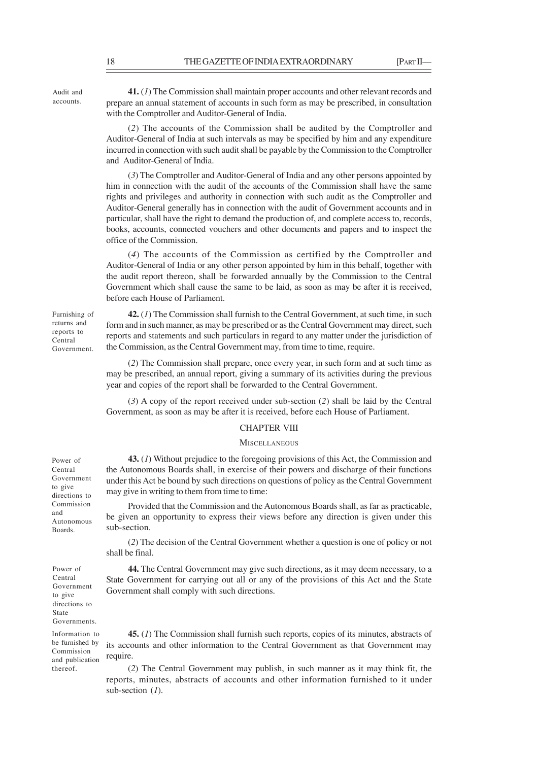**41.** (*1*) The Commission shall maintain proper accounts and other relevant records and prepare an annual statement of accounts in such form as may be prescribed, in consultation with the Comptroller and Auditor-General of India.

(*2*) The accounts of the Commission shall be audited by the Comptroller and Auditor-General of India at such intervals as may be specified by him and any expenditure incurred in connection with such audit shall be payable by the Commission to the Comptroller and Auditor-General of India.

(*3*) The Comptroller and Auditor-General of India and any other persons appointed by him in connection with the audit of the accounts of the Commission shall have the same rights and privileges and authority in connection with such audit as the Comptroller and Auditor-General generally has in connection with the audit of Government accounts and in particular, shall have the right to demand the production of, and complete access to, records, books, accounts, connected vouchers and other documents and papers and to inspect the office of the Commission.

(*4*) The accounts of the Commission as certified by the Comptroller and Auditor-General of India or any other person appointed by him in this behalf, together with the audit report thereon, shall be forwarded annually by the Commission to the Central Government which shall cause the same to be laid, as soon as may be after it is received, before each House of Parliament.

**42.** (*1*) The Commission shall furnish to the Central Government, at such time, in such form and in such manner, as may be prescribed or as the Central Government may direct, such reports and statements and such particulars in regard to any matter under the jurisdiction of the Commission, as the Central Government may, from time to time, require.

(*2*) The Commission shall prepare, once every year, in such form and at such time as may be prescribed, an annual report, giving a summary of its activities during the previous year and copies of the report shall be forwarded to the Central Government.

(*3*) A copy of the report received under sub-section (*2*) shall be laid by the Central Government, as soon as may be after it is received, before each House of Parliament.

### CHAPTER VIII

# **MISCELLANEOUS**

**43.** (*1*) Without prejudice to the foregoing provisions of this Act, the Commission and the Autonomous Boards shall, in exercise of their powers and discharge of their functions under this Act be bound by such directions on questions of policy as the Central Government may give in writing to them from time to time:

Provided that the Commission and the Autonomous Boards shall, as far as practicable, be given an opportunity to express their views before any direction is given under this sub-section.

(*2*) The decision of the Central Government whether a question is one of policy or not shall be final.

**44.** The Central Government may give such directions, as it may deem necessary, to a State Government for carrying out all or any of the provisions of this Act and the State Government shall comply with such directions.

**45.** (*1*) The Commission shall furnish such reports, copies of its minutes, abstracts of its accounts and other information to the Central Government as that Government may require.

(*2*) The Central Government may publish, in such manner as it may think fit, the reports, minutes, abstracts of accounts and other information furnished to it under sub-section (*1*).

Power of Central Government to give directions to Commission and Autonomous Boards.

Power of Central Government to give directions to State Governments. Information to be furnished by Commission and publication thereof.

Furnishing of returns and reports to Central Government.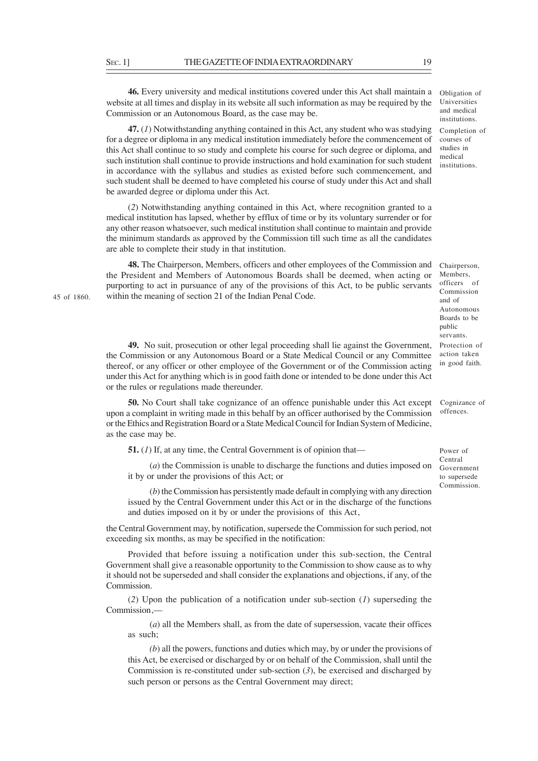**46.** Every university and medical institutions covered under this Act shall maintain a website at all times and display in its website all such information as may be required by the Commission or an Autonomous Board, as the case may be.

**47.** (*1*) Notwithstanding anything contained in this Act, any student who was studying for a degree or diploma in any medical institution immediately before the commencement of this Act shall continue to so study and complete his course for such degree or diploma, and such institution shall continue to provide instructions and hold examination for such student in accordance with the syllabus and studies as existed before such commencement, and such student shall be deemed to have completed his course of study under this Act and shall be awarded degree or diploma under this Act.

(*2*) Notwithstanding anything contained in this Act, where recognition granted to a medical institution has lapsed, whether by efflux of time or by its voluntary surrender or for any other reason whatsoever, such medical institution shall continue to maintain and provide the minimum standards as approved by the Commission till such time as all the candidates are able to complete their study in that institution.

**48.** The Chairperson, Members, officers and other employees of the Commission and the President and Members of Autonomous Boards shall be deemed, when acting or purporting to act in pursuance of any of the provisions of this Act, to be public servants within the meaning of section 21 of the Indian Penal Code.

**49.** No suit, prosecution or other legal proceeding shall lie against the Government, the Commission or any Autonomous Board or a State Medical Council or any Committee thereof, or any officer or other employee of the Government or of the Commission acting under this Act for anything which is in good faith done or intended to be done under this Act or the rules or regulations made thereunder.

**50.** No Court shall take cognizance of an offence punishable under this Act except upon a complaint in writing made in this behalf by an officer authorised by the Commission or the Ethics and Registration Board or a State Medical Council for Indian System of Medicine, as the case may be.

**51.** (*1*) If, at any time, the Central Government is of opinion that—

(*a*) the Commission is unable to discharge the functions and duties imposed on it by or under the provisions of this Act; or

(*b*) the Commission has persistently made default in complying with any direction issued by the Central Government under this Act or in the discharge of the functions and duties imposed on it by or under the provisions of this Act,

the Central Government may, by notification, supersede the Commission for such period, not exceeding six months, as may be specified in the notification:

Provided that before issuing a notification under this sub-section, the Central Government shall give a reasonable opportunity to the Commission to show cause as to why it should not be superseded and shall consider the explanations and objections, if any, of the **Commission** 

(*2*) Upon the publication of a notification under sub-section (*1*) superseding the Commission,––

(*a*) all the Members shall, as from the date of supersession, vacate their offices as such;

*(b*) all the powers, functions and duties which may, by or under the provisions of this Act, be exercised or discharged by or on behalf of the Commission, shall until the Commission is re-constituted under sub-section (*3*), be exercised and discharged by such person or persons as the Central Government may direct;

45 of 1860.

Cognizance of offences.

Power of Central Government to supersede Commission.

Obligation of Universities and medical institutions. Completion of courses of studies in medical institutions.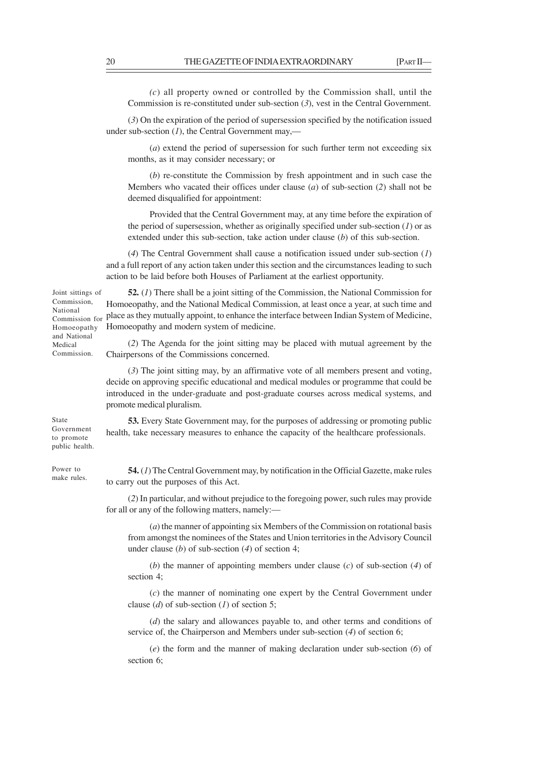*(c*) all property owned or controlled by the Commission shall, until the Commission is re-constituted under sub-section (*3*), vest in the Central Government.

(*3*) On the expiration of the period of supersession specified by the notification issued under sub-section (*1*), the Central Government may,—

(*a*) extend the period of supersession for such further term not exceeding six months, as it may consider necessary; or

(*b*) re-constitute the Commission by fresh appointment and in such case the Members who vacated their offices under clause (*a*) of sub-section (*2*) shall not be deemed disqualified for appointment:

Provided that the Central Government may, at any time before the expiration of the period of supersession, whether as originally specified under sub-section (*1*) or as extended under this sub-section, take action under clause (*b*) of this sub-section.

(*4*) The Central Government shall cause a notification issued under sub-section (*1*) and a full report of any action taken under this section and the circumstances leading to such action to be laid before both Houses of Parliament at the earliest opportunity.

**52.** (*1*) There shall be a joint sitting of the Commission, the National Commission for Homoeopathy, and the National Medical Commission, at least once a year, at such time and place as they mutually appoint, to enhance the interface between Indian System of Medicine, Homoeopathy and modern system of medicine.

(*2*) The Agenda for the joint sitting may be placed with mutual agreement by the Chairpersons of the Commissions concerned.

(*3*) The joint sitting may, by an affirmative vote of all members present and voting, decide on approving specific educational and medical modules or programme that could be introduced in the under-graduate and post-graduate courses across medical systems, and promote medical pluralism.

**53.** Every State Government may, for the purposes of addressing or promoting public health, take necessary measures to enhance the capacity of the healthcare professionals.

Power to make rules.

State Government to promote public health.

> **54.** (*1*) The Central Government may, by notification in the Official Gazette, make rules to carry out the purposes of this Act.

> (*2*) In particular, and without prejudice to the foregoing power, such rules may provide for all or any of the following matters, namely:––

(*a*) the manner of appointing six Members of the Commission on rotational basis from amongst the nominees of the States and Union territories in the Advisory Council under clause (*b*) of sub-section (*4*) of section 4;

(*b*) the manner of appointing members under clause (*c*) of sub-section (*4*) of section 4;

(*c*) the manner of nominating one expert by the Central Government under clause (*d*) of sub-section (*1*) of section 5;

(*d*) the salary and allowances payable to, and other terms and conditions of service of, the Chairperson and Members under sub-section (*4*) of section 6;

(*e*) the form and the manner of making declaration under sub-section (*6*) of section 6;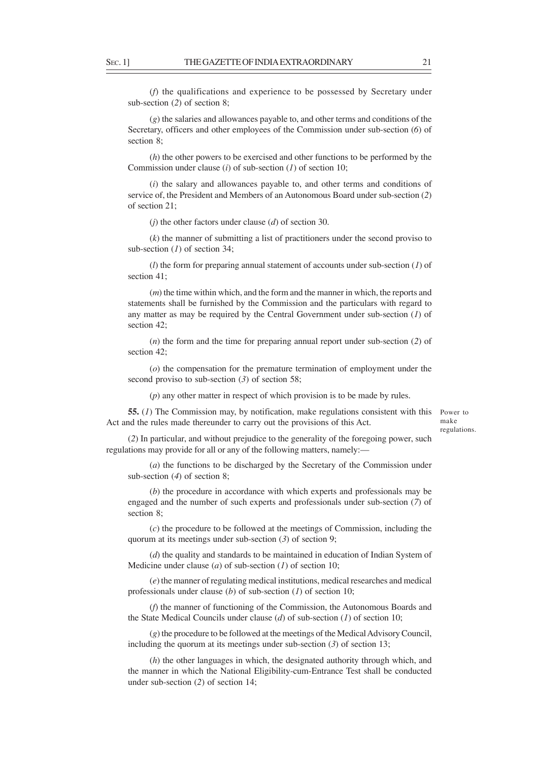(*f*) the qualifications and experience to be possessed by Secretary under sub-section (*2*) of section 8;

(*g*) the salaries and allowances payable to, and other terms and conditions of the Secretary, officers and other employees of the Commission under sub-section (*6*) of section 8;

(*h*) the other powers to be exercised and other functions to be performed by the Commission under clause (*i*) of sub-section (*1*) of section 10;

(*i*) the salary and allowances payable to, and other terms and conditions of service of, the President and Members of an Autonomous Board under sub-section (*2*) of section 21;

(*j*) the other factors under clause (*d*) of section 30.

(*k*) the manner of submitting a list of practitioners under the second proviso to sub-section (*1*) of section 34;

(*l*) the form for preparing annual statement of accounts under sub-section (*1*) of section 41;

(*m*) the time within which, and the form and the manner in which, the reports and statements shall be furnished by the Commission and the particulars with regard to any matter as may be required by the Central Government under sub-section (*1*) of section 42;

(*n*) the form and the time for preparing annual report under sub-section (*2*) of section 42;

(*o*) the compensation for the premature termination of employment under the second proviso to sub-section (*3*) of section 58;

(*p*) any other matter in respect of which provision is to be made by rules.

**55.** (*1*) The Commission may, by notification, make regulations consistent with this Act and the rules made thereunder to carry out the provisions of this Act.

Power to make regulations.

(*2*) In particular, and without prejudice to the generality of the foregoing power, such regulations may provide for all or any of the following matters, namely:—

(*a*) the functions to be discharged by the Secretary of the Commission under sub-section (*4*) of section 8;

(*b*) the procedure in accordance with which experts and professionals may be engaged and the number of such experts and professionals under sub-section (*7*) of section 8;

(*c*) the procedure to be followed at the meetings of Commission, including the quorum at its meetings under sub-section (*3*) of section 9;

(*d*) the quality and standards to be maintained in education of Indian System of Medicine under clause (*a*) of sub-section (*1*) of section 10;

(*e*) the manner of regulating medical institutions, medical researches and medical professionals under clause (*b*) of sub-section (*1*) of section 10;

(*f*) the manner of functioning of the Commission, the Autonomous Boards and the State Medical Councils under clause (*d*) of sub-section (*1*) of section 10;

(*g*) the procedure to be followed at the meetings of the Medical Advisory Council, including the quorum at its meetings under sub-section (*3*) of section 13;

(*h*) the other languages in which, the designated authority through which, and the manner in which the National Eligibility-cum-Entrance Test shall be conducted under sub-section (*2*) of section 14;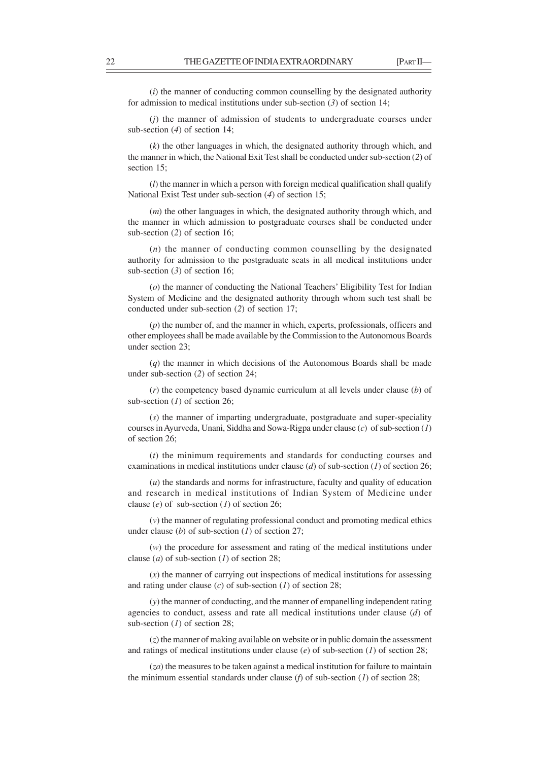(*i*) the manner of conducting common counselling by the designated authority for admission to medical institutions under sub-section (*3*) of section 14;

(*j*) the manner of admission of students to undergraduate courses under sub-section (*4*) of section 14;

(*k*) the other languages in which, the designated authority through which, and the manner in which, the National Exit Test shall be conducted under sub-section (*2*) of section 15:

(*l*) the manner in which a person with foreign medical qualification shall qualify National Exist Test under sub-section (*4*) of section 15;

(*m*) the other languages in which, the designated authority through which, and the manner in which admission to postgraduate courses shall be conducted under sub-section (*2*) of section 16;

(*n*) the manner of conducting common counselling by the designated authority for admission to the postgraduate seats in all medical institutions under sub-section (*3*) of section 16;

(*o*) the manner of conducting the National Teachers' Eligibility Test for Indian System of Medicine and the designated authority through whom such test shall be conducted under sub-section (*2*) of section 17;

(*p*) the number of, and the manner in which, experts, professionals, officers and other employees shall be made available by the Commission to the Autonomous Boards under section 23;

(*q*) the manner in which decisions of the Autonomous Boards shall be made under sub-section (*2*) of section 24;

(*r*) the competency based dynamic curriculum at all levels under clause (*b*) of sub-section (*1*) of section 26;

(*s*) the manner of imparting undergraduate, postgraduate and super-speciality courses in Ayurveda, Unani, Siddha and Sowa-Rigpa under clause (*c*) of sub-section (*1*) of section 26;

(*t*) the minimum requirements and standards for conducting courses and examinations in medical institutions under clause (*d*) of sub-section (*1*) of section 26;

(*u*) the standards and norms for infrastructure, faculty and quality of education and research in medical institutions of Indian System of Medicine under clause (*e*) of sub-section (*1*) of section 26;

(*v*) the manner of regulating professional conduct and promoting medical ethics under clause (*b*) of sub-section (*1*) of section 27;

(*w*) the procedure for assessment and rating of the medical institutions under clause (*a*) of sub-section (*1*) of section 28;

(*x*) the manner of carrying out inspections of medical institutions for assessing and rating under clause (*c*) of sub-section (*1*) of section 28;

(*y*) the manner of conducting, and the manner of empanelling independent rating agencies to conduct, assess and rate all medical institutions under clause (*d*) of sub-section (*1*) of section 28;

(*z*) the manner of making available on website or in public domain the assessment and ratings of medical institutions under clause (*e*) of sub-section (*1*) of section 28;

(*za*) the measures to be taken against a medical institution for failure to maintain the minimum essential standards under clause (*f*) of sub-section (*1*) of section 28;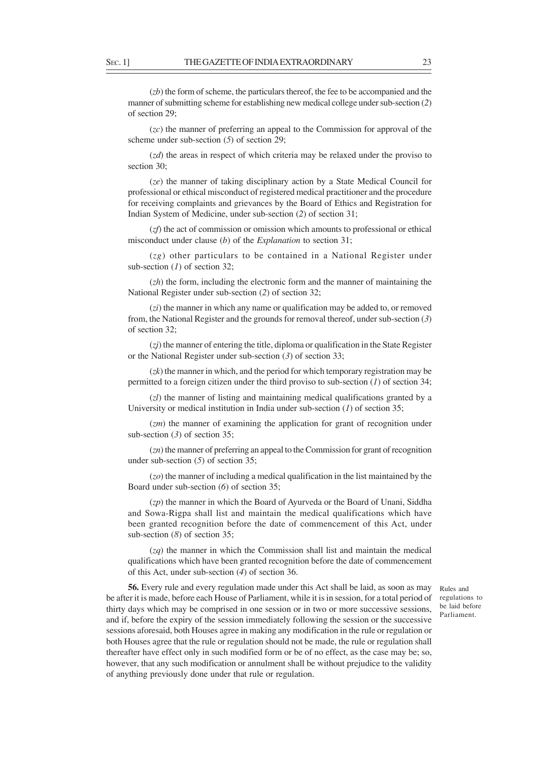(*zb*) the form of scheme, the particulars thereof, the fee to be accompanied and the manner of submitting scheme for establishing new medical college under sub-section (*2*) of section 29;

(*zc*) the manner of preferring an appeal to the Commission for approval of the scheme under sub-section (*5*) of section 29;

(*zd*) the areas in respect of which criteria may be relaxed under the proviso to section 30:

(*ze*) the manner of taking disciplinary action by a State Medical Council for professional or ethical misconduct of registered medical practitioner and the procedure for receiving complaints and grievances by the Board of Ethics and Registration for Indian System of Medicine, under sub-section (*2*) of section 31;

(*zf*) the act of commission or omission which amounts to professional or ethical misconduct under clause (*b*) of the *Explanation* to section 31;

(*zg*) other particulars to be contained in a National Register under sub-section (*1*) of section 32;

(*zh*) the form, including the electronic form and the manner of maintaining the National Register under sub-section (*2*) of section 32;

(*zi*) the manner in which any name or qualification may be added to, or removed from, the National Register and the grounds for removal thereof, under sub-section (*3*) of section 32;

(*zj*) the manner of entering the title, diploma or qualification in the State Register or the National Register under sub-section (*3*) of section 33;

(*zk*) the manner in which, and the period for which temporary registration may be permitted to a foreign citizen under the third proviso to sub-section (*1*) of section 34;

(*zl*) the manner of listing and maintaining medical qualifications granted by a University or medical institution in India under sub-section (*1*) of section 35;

(*zm*) the manner of examining the application for grant of recognition under sub-section (*3*) of section 35;

(*zn*) the manner of preferring an appeal to the Commission for grant of recognition under sub-section (*5*) of section 35;

(*zo*) the manner of including a medical qualification in the list maintained by the Board under sub-section (*6*) of section 35;

(*zp*) the manner in which the Board of Ayurveda or the Board of Unani, Siddha and Sowa-Rigpa shall list and maintain the medical qualifications which have been granted recognition before the date of commencement of this Act, under sub-section (*8*) of section 35;

(*zq*) the manner in which the Commission shall list and maintain the medical qualifications which have been granted recognition before the date of commencement of this Act, under sub-section (*4*) of section 36.

**56.** Every rule and every regulation made under this Act shall be laid, as soon as may be after it is made, before each House of Parliament, while it is in session, for a total period of thirty days which may be comprised in one session or in two or more successive sessions, and if, before the expiry of the session immediately following the session or the successive sessions aforesaid, both Houses agree in making any modification in the rule or regulation or both Houses agree that the rule or regulation should not be made, the rule or regulation shall thereafter have effect only in such modified form or be of no effect, as the case may be; so, however, that any such modification or annulment shall be without prejudice to the validity of anything previously done under that rule or regulation.

Rules and regulations to be laid before Parliament.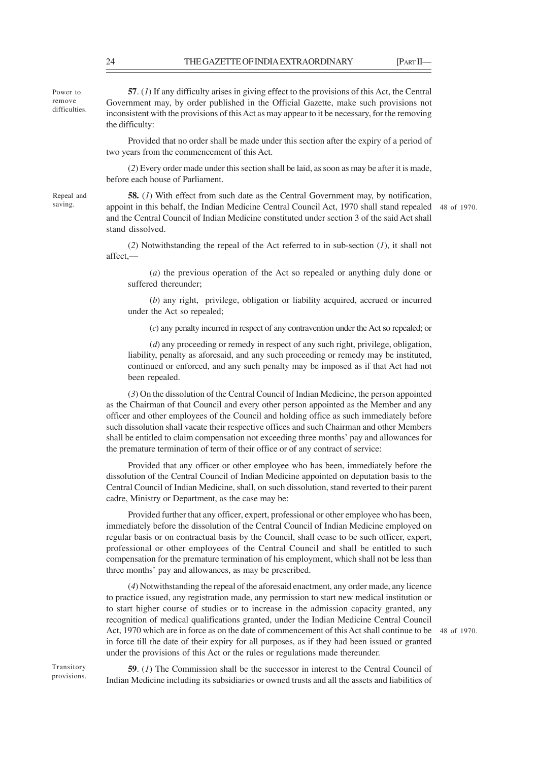Power to remove difficulties.

**57**. (*1*) If any difficulty arises in giving effect to the provisions of this Act, the Central Government may, by order published in the Official Gazette, make such provisions not inconsistent with the provisions of this Act as may appear to it be necessary, for the removing the difficulty:

Provided that no order shall be made under this section after the expiry of a period of two years from the commencement of this Act.

(*2*) Every order made under this section shall be laid, as soon as may be after it is made, before each house of Parliament.

Repeal and saving.

**58.** (*1*) With effect from such date as the Central Government may, by notification, appoint in this behalf, the Indian Medicine Central Council Act, 1970 shall stand repealed 48 of 1970. and the Central Council of Indian Medicine constituted under section 3 of the said Act shall stand dissolved.

(*2*) Notwithstanding the repeal of the Act referred to in sub-section (*1*), it shall not affect,––

(*a*) the previous operation of the Act so repealed or anything duly done or suffered thereunder;

(*b*) any right, privilege, obligation or liability acquired, accrued or incurred under the Act so repealed;

(*c*) any penalty incurred in respect of any contravention under the Act so repealed; or

(*d*) any proceeding or remedy in respect of any such right, privilege, obligation, liability, penalty as aforesaid, and any such proceeding or remedy may be instituted, continued or enforced, and any such penalty may be imposed as if that Act had not been repealed.

(*3*) On the dissolution of the Central Council of Indian Medicine, the person appointed as the Chairman of that Council and every other person appointed as the Member and any officer and other employees of the Council and holding office as such immediately before such dissolution shall vacate their respective offices and such Chairman and other Members shall be entitled to claim compensation not exceeding three months' pay and allowances for the premature termination of term of their office or of any contract of service:

Provided that any officer or other employee who has been, immediately before the dissolution of the Central Council of Indian Medicine appointed on deputation basis to the Central Council of Indian Medicine, shall, on such dissolution, stand reverted to their parent cadre, Ministry or Department, as the case may be:

Provided further that any officer, expert, professional or other employee who has been, immediately before the dissolution of the Central Council of Indian Medicine employed on regular basis or on contractual basis by the Council, shall cease to be such officer, expert, professional or other employees of the Central Council and shall be entitled to such compensation for the premature termination of his employment, which shall not be less than three months' pay and allowances, as may be prescribed.

(*4*) Notwithstanding the repeal of the aforesaid enactment, any order made, any licence to practice issued, any registration made, any permission to start new medical institution or to start higher course of studies or to increase in the admission capacity granted, any recognition of medical qualifications granted, under the Indian Medicine Central Council Act, 1970 which are in force as on the date of commencement of this Act shall continue to be 48 of 1970. in force till the date of their expiry for all purposes, as if they had been issued or granted under the provisions of this Act or the rules or regulations made thereunder.

Transitory provisions.

**59**. (*1*) The Commission shall be the successor in interest to the Central Council of Indian Medicine including its subsidiaries or owned trusts and all the assets and liabilities of